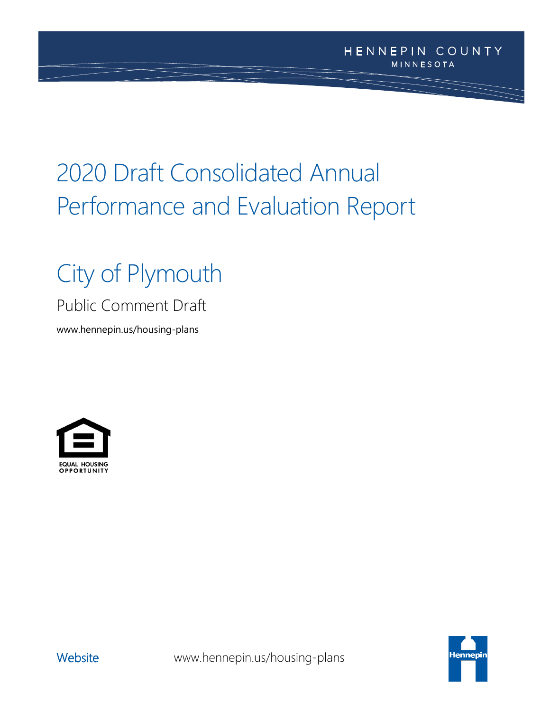# 2020 Draft Consolidated Annual Performance and Evaluation Report

# City of Plymouth

## Public Comment Draft

www.hennepin.us/housing-plans



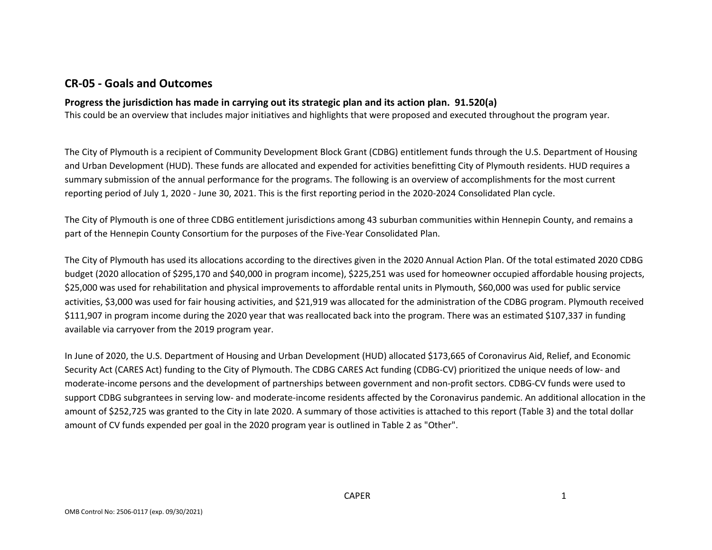## **CR-05 - Goals and Outcomes**

#### **Progress the jurisdiction has made in carrying out its strategic plan and its action plan. 91.520(a)**

This could be an overview that includes major initiatives and highlights that were proposed and executed throughout the program year.

The City of Plymouth is a recipient of Community Development Block Grant (CDBG) entitlement funds through the U.S. Department of Housing and Urban Development (HUD). These funds are allocated and expended for activities benefitting City of Plymouth residents. HUD requires a summary submission of the annual performance for the programs. The following is an overview of accomplishments for the most current reporting period of July 1, 2020 - June 30, 2021. This is the first reporting period in the 2020-2024 Consolidated Plan cycle.

The City of Plymouth is one of three CDBG entitlement jurisdictions among 43 suburban communities within Hennepin County, and remains a part of the Hennepin County Consortium for the purposes of the Five-Year Consolidated Plan.

The City of Plymouth has used its allocations according to the directives given in the 2020 Annual Action Plan. Of the total estimated 2020 CDBG budget (2020 allocation of \$295,170 and \$40,000 in program income), \$225,251 was used for homeowner occupied affordable housing projects, \$25,000 was used for rehabilitation and physical improvements to affordable rental units in Plymouth, \$60,000 was used for public service activities, \$3,000 was used for fair housing activities, and \$21,919 was allocated for the administration of the CDBG program. Plymouth received \$111,907 in program income during the 2020 year that was reallocated back into the program. There was an estimated \$107,337 in funding available via carryover from the 2019 program year.

In June of 2020, the U.S. Department of Housing and Urban Development (HUD) allocated \$173,665 of Coronavirus Aid, Relief, and Economic Security Act (CARES Act) funding to the City of Plymouth. The CDBG CARES Act funding (CDBG-CV) prioritized the unique needs of low- and moderate-income persons and the development of partnerships between government and non-profit sectors. CDBG-CV funds were used to support CDBG subgrantees in serving low- and moderate-income residents affected by the Coronavirus pandemic. An additional allocation in the amount of \$252,725 was granted to the City in late 2020. A summary of those activities is attached to this report (Table 3) and the total dollar amount of CV funds expended per goal in the 2020 program year is outlined in Table 2 as "Other".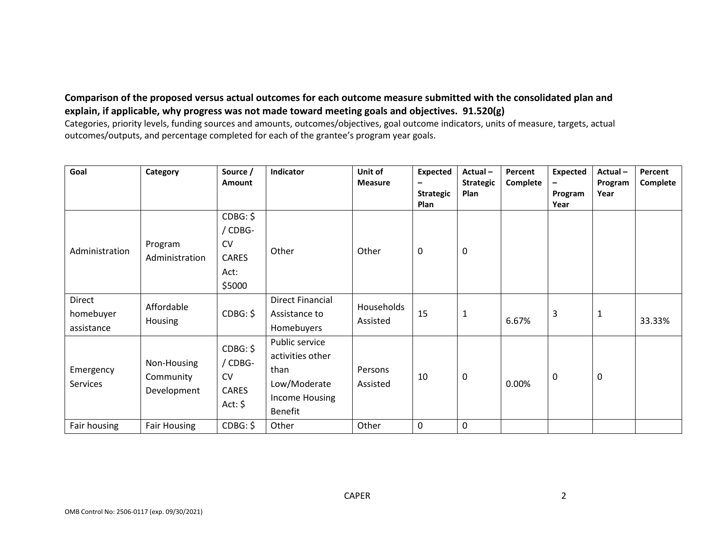## **Comparison of the proposed versus actual outcomes for each outcome measure submitted with the consolidated plan and explain, if applicable, why progress was not made toward meeting goals and objectives. 91.520(g)**

Categories, priority levels, funding sources and amounts, outcomes/objectives, goal outcome indicators, units of measure, targets, actual outcomes/outputs, and percentage completed for each of the grantee's program year goals.

| Goal                              | Category                                | Source /<br><b>Amount</b>                                          | Indicator                                                                               | Unit of<br><b>Measure</b> | <b>Expected</b><br><b>Strategic</b><br>Plan | Actual-<br><b>Strategic</b><br>Plan | Percent<br>Complete | <b>Expected</b><br>Program<br>Year | Actual-<br>Program<br>Year | Percent<br>Complete |
|-----------------------------------|-----------------------------------------|--------------------------------------------------------------------|-----------------------------------------------------------------------------------------|---------------------------|---------------------------------------------|-------------------------------------|---------------------|------------------------------------|----------------------------|---------------------|
| Administration                    | Program<br>Administration               | CDBG: \$<br>/ CDBG-<br><b>CV</b><br><b>CARES</b><br>Act:<br>\$5000 | Other                                                                                   | Other                     | 0                                           | 0                                   |                     |                                    |                            |                     |
| Direct<br>homebuyer<br>assistance | Affordable<br><b>Housing</b>            | CDBG: \$                                                           | <b>Direct Financial</b><br>Assistance to<br>Homebuyers                                  | Households<br>Assisted    | 15                                          | $\mathbf{1}$                        | 6.67%               | 3                                  | $\mathbf{1}$               | 33.33%              |
| Emergency<br>Services             | Non-Housing<br>Community<br>Development | CDBG: \$<br>/ CDBG-<br><b>CV</b><br><b>CARES</b><br>Act: $\oint$   | Public service<br>activities other<br>than<br>Low/Moderate<br>Income Housing<br>Benefit | Persons<br>Assisted       | 10                                          | 0                                   | 0.00%               | $\mathbf 0$                        | $\mathbf 0$                |                     |
| Fair housing                      | <b>Fair Housing</b>                     | CDBG: \$                                                           | Other                                                                                   | Other                     | 0                                           | 0                                   |                     |                                    |                            |                     |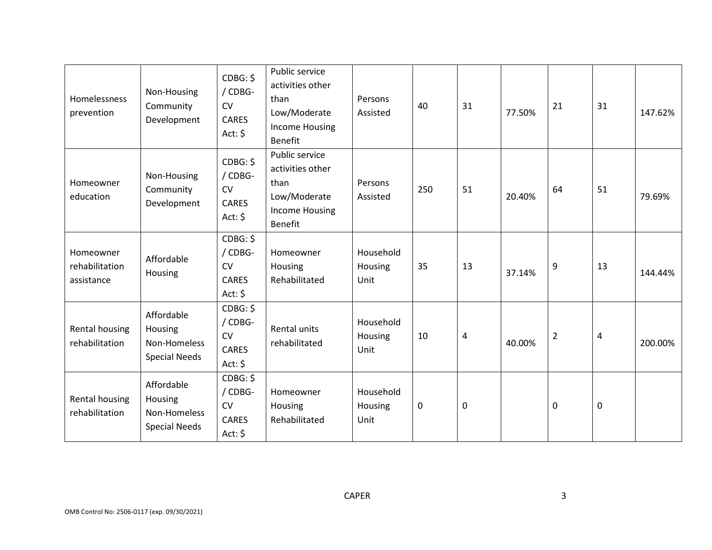| Homelessness<br>prevention                | Non-Housing<br>Community<br>Development                       | CDBG: \$<br>/ CDBG-<br><b>CV</b><br><b>CARES</b><br>Act: $\oint$             | Public service<br>activities other<br>than<br>Low/Moderate<br><b>Income Housing</b><br>Benefit | Persons<br>Assisted          | 40  | 31               | 77.50% | 21             | 31        | 147.62% |
|-------------------------------------------|---------------------------------------------------------------|------------------------------------------------------------------------------|------------------------------------------------------------------------------------------------|------------------------------|-----|------------------|--------|----------------|-----------|---------|
| Homeowner<br>education                    | Non-Housing<br>Community<br>Development                       | CDBG: \$<br>/ CDBG-<br><b>CV</b><br><b>CARES</b><br>Act: $\oint$             | Public service<br>activities other<br>than<br>Low/Moderate<br>Income Housing<br>Benefit        | Persons<br>Assisted          | 250 | 51               | 20.40% | 64             | 51        | 79.69%  |
| Homeowner<br>rehabilitation<br>assistance | Affordable<br>Housing                                         | CDBG: \$<br>/ CDBG-<br><b>CV</b><br><b>CARES</b><br>Act: $\oint$             | Homeowner<br>Housing<br>Rehabilitated                                                          | Household<br>Housing<br>Unit | 35  | 13               | 37.14% | 9              | 13        | 144.44% |
| Rental housing<br>rehabilitation          | Affordable<br>Housing<br>Non-Homeless<br><b>Special Needs</b> | CDBG: \$<br>/ CDBG-<br><b>CV</b><br><b>CARES</b><br>Act: \$                  | Rental units<br>rehabilitated                                                                  | Household<br>Housing<br>Unit | 10  | $\overline{4}$   | 40.00% | $\overline{2}$ | 4         | 200.00% |
| Rental housing<br>rehabilitation          | Affordable<br>Housing<br>Non-Homeless<br><b>Special Needs</b> | $CDBG: \overline{S}$<br>/ CDBG-<br><b>CV</b><br><b>CARES</b><br>Act: $\oint$ | Homeowner<br>Housing<br>Rehabilitated                                                          | Household<br>Housing<br>Unit | 0   | $\boldsymbol{0}$ |        | 0              | $\pmb{0}$ |         |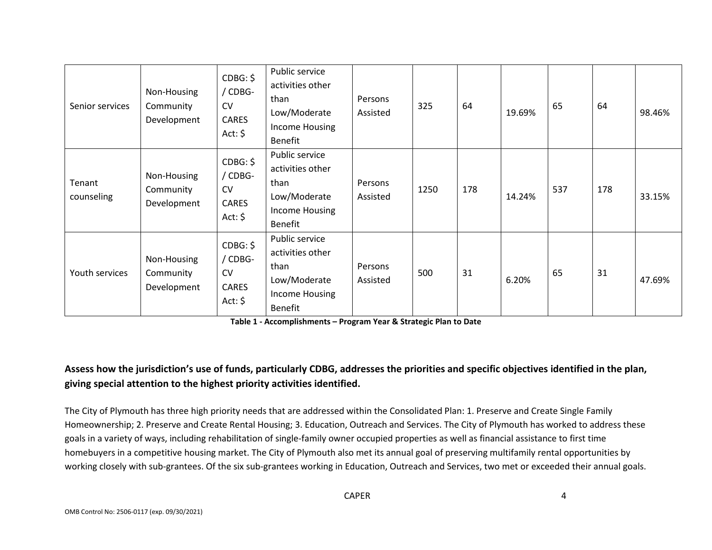| Senior services      | Non-Housing<br>Community<br>Development | CDBG: \$<br>/ CDBG-<br><b>CV</b><br><b>CARES</b><br>Act: $\oint$ | Public service<br>activities other<br>than<br>Low/Moderate<br>Income Housing<br>Benefit        | Persons<br>Assisted | 325  | 64  | 19.69% | 65  | 64  | 98.46% |
|----------------------|-----------------------------------------|------------------------------------------------------------------|------------------------------------------------------------------------------------------------|---------------------|------|-----|--------|-----|-----|--------|
| Tenant<br>counseling | Non-Housing<br>Community<br>Development | CDBG: \$<br>/ CDBG-<br><b>CV</b><br><b>CARES</b><br>Act: $\oint$ | Public service<br>activities other<br>than<br>Low/Moderate<br>Income Housing<br>Benefit        | Persons<br>Assisted | 1250 | 178 | 14.24% | 537 | 178 | 33.15% |
| Youth services       | Non-Housing<br>Community<br>Development | CDBG: \$<br>/ CDBG-<br><b>CV</b><br><b>CARES</b><br>Act: $\oint$ | Public service<br>activities other<br>than<br>Low/Moderate<br>Income Housing<br><b>Benefit</b> | Persons<br>Assisted | 500  | 31  | 6.20%  | 65  | 31  | 47.69% |

**Table 1 - Accomplishments – Program Year & Strategic Plan to Date**

## **Assess how the jurisdiction's use of funds, particularly CDBG, addresses the priorities and specific objectives identified in the plan, giving special attention to the highest priority activities identified.**

The City of Plymouth has three high priority needs that are addressed within the Consolidated Plan: 1. Preserve and Create Single Family Homeownership; 2. Preserve and Create Rental Housing; 3. Education, Outreach and Services. The City of Plymouth has worked to address these goals in a variety of ways, including rehabilitation of single-family owner occupied properties as well as financial assistance to first time homebuyers in a competitive housing market. The City of Plymouth also met its annual goal of preserving multifamily rental opportunities by working closely with sub-grantees. Of the six sub-grantees working in Education, Outreach and Services, two met or exceeded their annual goals.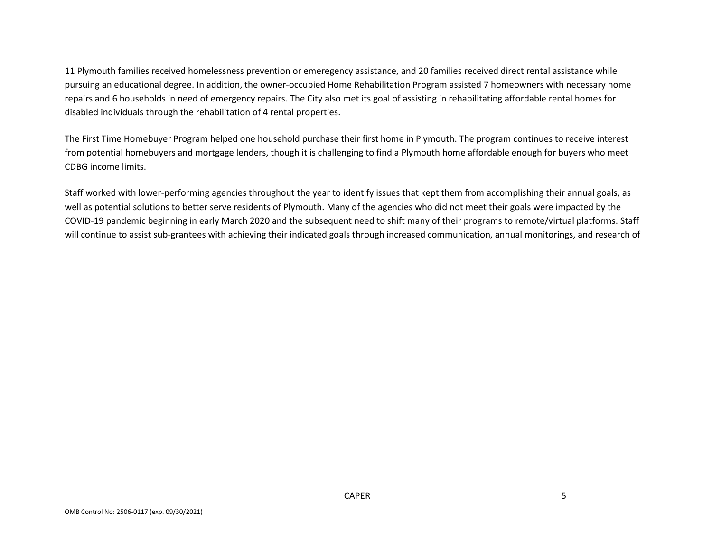11 Plymouth families received homelessness prevention or emeregency assistance, and 20 families received direct rental assistance while pursuing an educational degree. In addition, the owner-occupied Home Rehabilitation Program assisted 7 homeowners with necessary home repairs and 6 households in need of emergency repairs. The City also met its goal of assisting in rehabilitating affordable rental homes for disabled individuals through the rehabilitation of 4 rental properties.

The First Time Homebuyer Program helped one household purchase their first home in Plymouth. The program continues to receive interest from potential homebuyers and mortgage lenders, though it is challenging to find a Plymouth home affordable enough for buyers who meet CDBG income limits.

Staff worked with lower-performing agencies throughout the year to identify issues that kept them from accomplishing their annual goals, as well as potential solutions to better serve residents of Plymouth. Many of the agencies who did not meet their goals were impacted by the COVID-19 pandemic beginning in early March 2020 and the subsequent need to shift many of their programs to remote/virtual platforms. Staff will continue to assist sub-grantees with achieving their indicated goals through increased communication, annual monitorings, and research of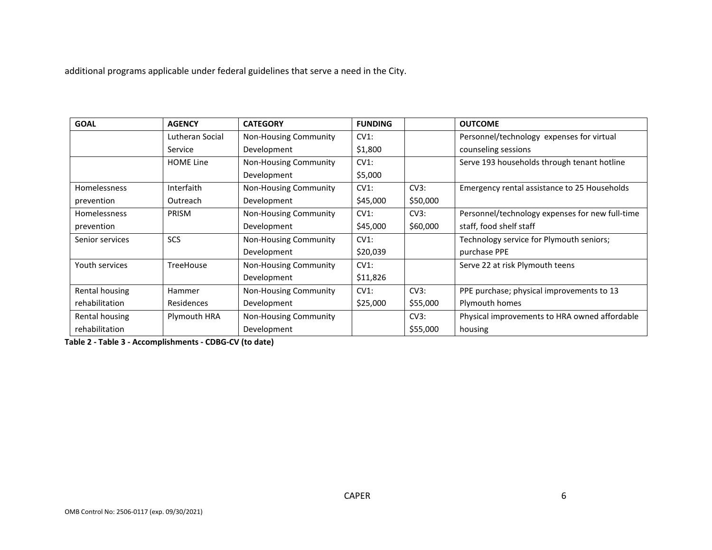additional programs applicable under federal guidelines that serve a need in the City.

| <b>GOAL</b>         | <b>AGENCY</b>    | <b>CATEGORY</b>              | <b>FUNDING</b> |          | <b>OUTCOME</b>                                  |
|---------------------|------------------|------------------------------|----------------|----------|-------------------------------------------------|
|                     | Lutheran Social  | <b>Non-Housing Community</b> | CV1:           |          | Personnel/technology expenses for virtual       |
|                     | Service          | Development                  | \$1,800        |          | counseling sessions                             |
|                     | <b>HOME Line</b> | Non-Housing Community        | CV1:           |          | Serve 193 households through tenant hotline     |
|                     |                  | Development                  | \$5,000        |          |                                                 |
| Homelessness        | Interfaith       | <b>Non-Housing Community</b> | CV1:           | CV3:     | Emergency rental assistance to 25 Households    |
| prevention          | Outreach         | Development                  | \$45,000       | \$50,000 |                                                 |
| <b>Homelessness</b> | <b>PRISM</b>     | <b>Non-Housing Community</b> | CV1:           | CV3:     | Personnel/technology expenses for new full-time |
| prevention          |                  | Development                  | \$45,000       | \$60,000 | staff, food shelf staff                         |
| Senior services     | <b>SCS</b>       | <b>Non-Housing Community</b> | CV1:           |          | Technology service for Plymouth seniors;        |
|                     |                  | Development                  | \$20,039       |          | purchase PPE                                    |
| Youth services      | <b>TreeHouse</b> | Non-Housing Community        | CV1:           |          | Serve 22 at risk Plymouth teens                 |
|                     |                  | Development                  | \$11,826       |          |                                                 |
| Rental housing      | Hammer           | <b>Non-Housing Community</b> | CV1:           | CV3:     | PPE purchase; physical improvements to 13       |
| rehabilitation      | Residences       | Development                  | \$25,000       | \$55,000 | Plymouth homes                                  |
| Rental housing      | Plymouth HRA     | <b>Non-Housing Community</b> |                | CV3:     | Physical improvements to HRA owned affordable   |
| rehabilitation      |                  | Development                  |                | \$55,000 | housing                                         |

**Table 2 - Table 3 - Accomplishments - CDBG-CV (to date)**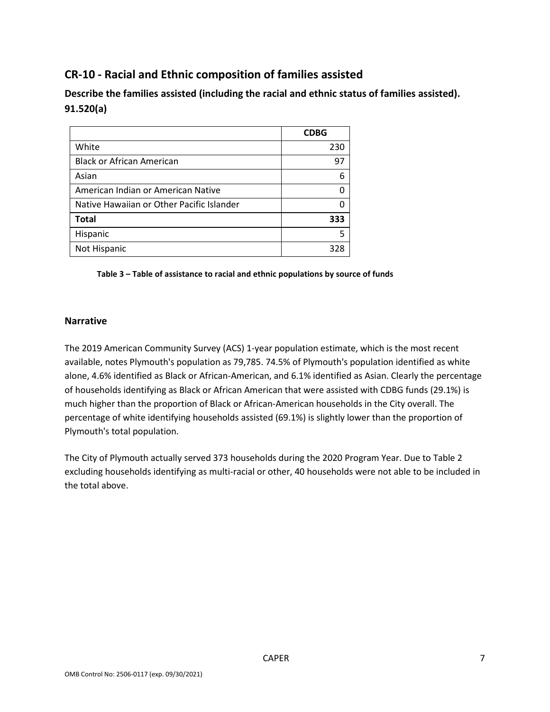## **CR-10 - Racial and Ethnic composition of families assisted**

**Describe the families assisted (including the racial and ethnic status of families assisted). 91.520(a)** 

|                                           | <b>CDBG</b> |
|-------------------------------------------|-------------|
| White                                     | 230         |
| <b>Black or African American</b>          | 97          |
| Asian                                     | 6           |
| American Indian or American Native        |             |
| Native Hawaiian or Other Pacific Islander |             |
| <b>Total</b>                              | 333         |
| Hispanic                                  |             |
| Not Hispanic                              | 328         |

#### **Table 3 – Table of assistance to racial and ethnic populations by source of funds**

#### **Narrative**

The 2019 American Community Survey (ACS) 1-year population estimate, which is the most recent available, notes Plymouth's population as 79,785. 74.5% of Plymouth's population identified as white alone, 4.6% identified as Black or African-American, and 6.1% identified as Asian. Clearly the percentage of households identifying as Black or African American that were assisted with CDBG funds (29.1%) is much higher than the proportion of Black or African-American households in the City overall. The percentage of white identifying households assisted (69.1%) is slightly lower than the proportion of Plymouth's total population.

The City of Plymouth actually served 373 households during the 2020 Program Year. Due to Table 2 excluding households identifying as multi-racial or other, 40 households were not able to be included in the total above.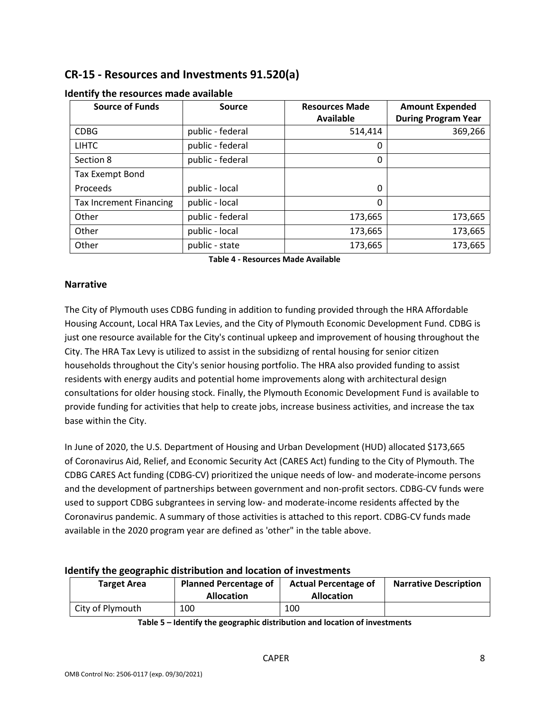## **CR-15 - Resources and Investments 91.520(a)**

| <b>Source of Funds</b>         | Source           | <b>Resources Made</b> | <b>Amount Expended</b>     |
|--------------------------------|------------------|-----------------------|----------------------------|
|                                |                  | <b>Available</b>      | <b>During Program Year</b> |
| <b>CDBG</b>                    | public - federal | 514,414               | 369,266                    |
| <b>LIHTC</b>                   | public - federal | 0                     |                            |
| Section 8                      | public - federal | 0                     |                            |
| <b>Tax Exempt Bond</b>         |                  |                       |                            |
| Proceeds                       | public - local   | 0                     |                            |
| <b>Tax Increment Financing</b> | public - local   | 0                     |                            |
| Other                          | public - federal | 173,665               | 173,665                    |
| Other                          | public - local   | 173,665               | 173,665                    |
| Other                          | public - state   | 173,665               | 173,665                    |

#### **Identify the resources made available**

**Table 4 - Resources Made Available**

#### **Narrative**

The City of Plymouth uses CDBG funding in addition to funding provided through the HRA Affordable Housing Account, Local HRA Tax Levies, and the City of Plymouth Economic Development Fund. CDBG is just one resource available for the City's continual upkeep and improvement of housing throughout the City. The HRA Tax Levy is utilized to assist in the subsidizng of rental housing for senior citizen households throughout the City's senior housing portfolio. The HRA also provided funding to assist residents with energy audits and potential home improvements along with architectural design consultations for older housing stock. Finally, the Plymouth Economic Development Fund is available to provide funding for activities that help to create jobs, increase business activities, and increase the tax base within the City.

In June of 2020, the U.S. Department of Housing and Urban Development (HUD) allocated \$173,665 of Coronavirus Aid, Relief, and Economic Security Act (CARES Act) funding to the City of Plymouth. The CDBG CARES Act funding (CDBG-CV) prioritized the unique needs of low- and moderate-income persons and the development of partnerships between government and non-profit sectors. CDBG-CV funds were used to support CDBG subgrantees in serving low- and moderate-income residents affected by the Coronavirus pandemic. A summary of those activities is attached to this report. CDBG-CV funds made available in the 2020 program year are defined as 'other" in the table above.

#### **Identify the geographic distribution and location of investments**

| <b>Target Area</b> | <b>Planned Percentage of</b><br><b>Allocation</b> | <b>Actual Percentage of</b><br><b>Allocation</b> | <b>Narrative Description</b> |
|--------------------|---------------------------------------------------|--------------------------------------------------|------------------------------|
| City of Plymouth   | 100                                               | 100                                              |                              |

**Table 5 – Identify the geographic distribution and location of investments**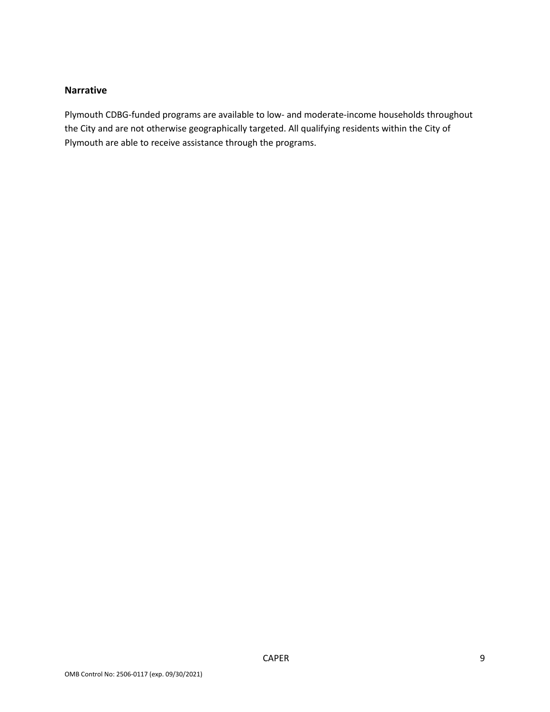### **Narrative**

Plymouth CDBG-funded programs are available to low- and moderate-income households throughout the City and are not otherwise geographically targeted. All qualifying residents within the City of Plymouth are able to receive assistance through the programs.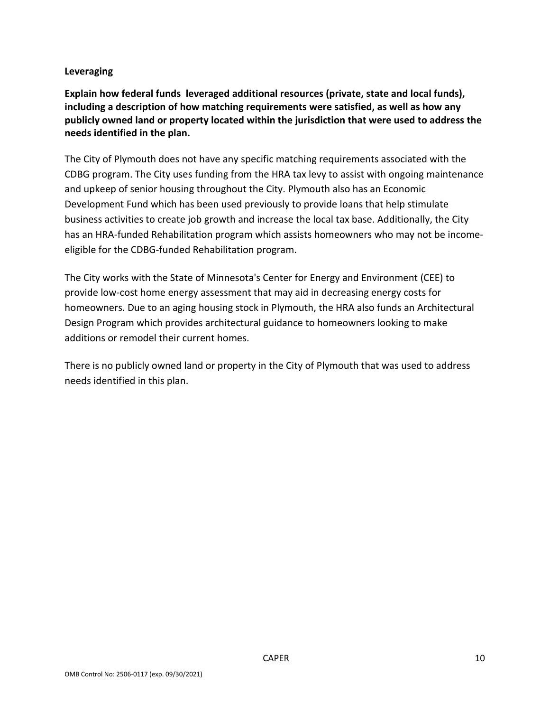#### **Leveraging**

**Explain how federal funds leveraged additional resources (private, state and local funds), including a description of how matching requirements were satisfied, as well as how any publicly owned land or property located within the jurisdiction that were used to address the needs identified in the plan.**

The City of Plymouth does not have any specific matching requirements associated with the CDBG program. The City uses funding from the HRA tax levy to assist with ongoing maintenance and upkeep of senior housing throughout the City. Plymouth also has an Economic Development Fund which has been used previously to provide loans that help stimulate business activities to create job growth and increase the local tax base. Additionally, the City has an HRA-funded Rehabilitation program which assists homeowners who may not be incomeeligible for the CDBG-funded Rehabilitation program.

The City works with the State of Minnesota's Center for Energy and Environment (CEE) to provide low-cost home energy assessment that may aid in decreasing energy costs for homeowners. Due to an aging housing stock in Plymouth, the HRA also funds an Architectural Design Program which provides architectural guidance to homeowners looking to make additions or remodel their current homes.

There is no publicly owned land or property in the City of Plymouth that was used to address needs identified in this plan.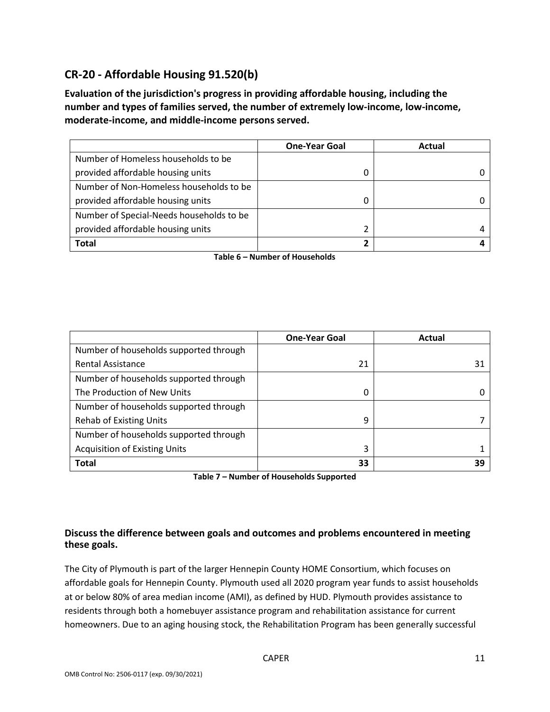## **CR-20 - Affordable Housing 91.520(b)**

**Evaluation of the jurisdiction's progress in providing affordable housing, including the number and types of families served, the number of extremely low-income, low-income, moderate-income, and middle-income persons served.**

|                                          | <b>One-Year Goal</b> | Actual |
|------------------------------------------|----------------------|--------|
| Number of Homeless households to be      |                      |        |
| provided affordable housing units        |                      |        |
| Number of Non-Homeless households to be  |                      |        |
| provided affordable housing units        |                      |        |
| Number of Special-Needs households to be |                      |        |
| provided affordable housing units        |                      |        |
| Total                                    |                      |        |

**Table 6 – Number of Households**

|                                        | <b>One-Year Goal</b> | Actual |
|----------------------------------------|----------------------|--------|
| Number of households supported through |                      |        |
| <b>Rental Assistance</b>               | 21                   | 31     |
| Number of households supported through |                      |        |
| The Production of New Units            | 0                    |        |
| Number of households supported through |                      |        |
| <b>Rehab of Existing Units</b>         | 9                    |        |
| Number of households supported through |                      |        |
| <b>Acquisition of Existing Units</b>   | 3                    |        |
| <b>Total</b>                           | 33                   | 39     |

**Table 7 – Number of Households Supported**

#### **Discuss the difference between goals and outcomes and problems encountered in meeting these goals.**

The City of Plymouth is part of the larger Hennepin County HOME Consortium, which focuses on affordable goals for Hennepin County. Plymouth used all 2020 program year funds to assist households at or below 80% of area median income (AMI), as defined by HUD. Plymouth provides assistance to residents through both a homebuyer assistance program and rehabilitation assistance for current homeowners. Due to an aging housing stock, the Rehabilitation Program has been generally successful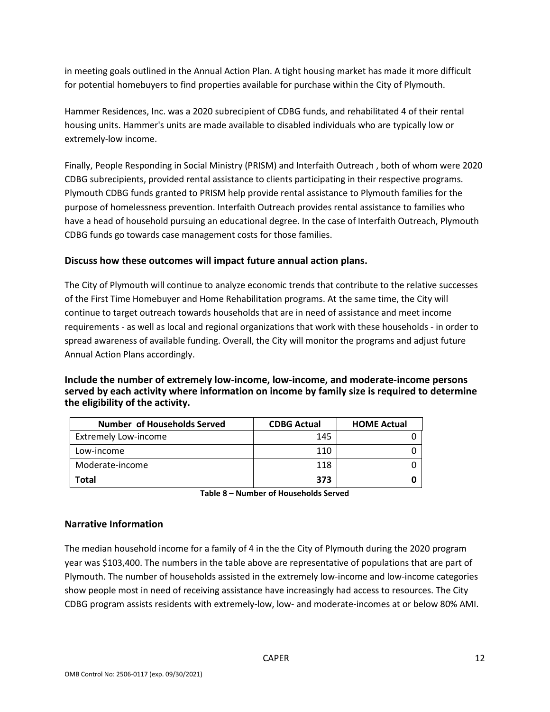in meeting goals outlined in the Annual Action Plan. A tight housing market has made it more difficult for potential homebuyers to find properties available for purchase within the City of Plymouth.

Hammer Residences, Inc. was a 2020 subrecipient of CDBG funds, and rehabilitated 4 of their rental housing units. Hammer's units are made available to disabled individuals who are typically low or extremely-low income.

Finally, People Responding in Social Ministry (PRISM) and Interfaith Outreach , both of whom were 2020 CDBG subrecipients, provided rental assistance to clients participating in their respective programs. Plymouth CDBG funds granted to PRISM help provide rental assistance to Plymouth families for the purpose of homelessness prevention. Interfaith Outreach provides rental assistance to families who have a head of household pursuing an educational degree. In the case of Interfaith Outreach, Plymouth CDBG funds go towards case management costs for those families.

#### **Discuss how these outcomes will impact future annual action plans.**

The City of Plymouth will continue to analyze economic trends that contribute to the relative successes of the First Time Homebuyer and Home Rehabilitation programs. At the same time, the City will continue to target outreach towards households that are in need of assistance and meet income requirements - as well as local and regional organizations that work with these households - in order to spread awareness of available funding. Overall, the City will monitor the programs and adjust future Annual Action Plans accordingly.

#### **Include the number of extremely low-income, low-income, and moderate-income persons served by each activity where information on income by family size is required to determine the eligibility of the activity.**

| <b>Number of Households Served</b> | <b>CDBG Actual</b> | <b>HOME Actual</b> |
|------------------------------------|--------------------|--------------------|
| <b>Extremely Low-income</b>        | 145                |                    |
| Low-income                         | 110                |                    |
| Moderate-income                    | 118                |                    |
| Total                              | 373                |                    |

**Table 8 – Number of Households Served**

#### **Narrative Information**

The median household income for a family of 4 in the the City of Plymouth during the 2020 program year was \$103,400. The numbers in the table above are representative of populations that are part of Plymouth. The number of households assisted in the extremely low-income and low-income categories show people most in need of receiving assistance have increasingly had access to resources. The City CDBG program assists residents with extremely-low, low- and moderate-incomes at or below 80% AMI.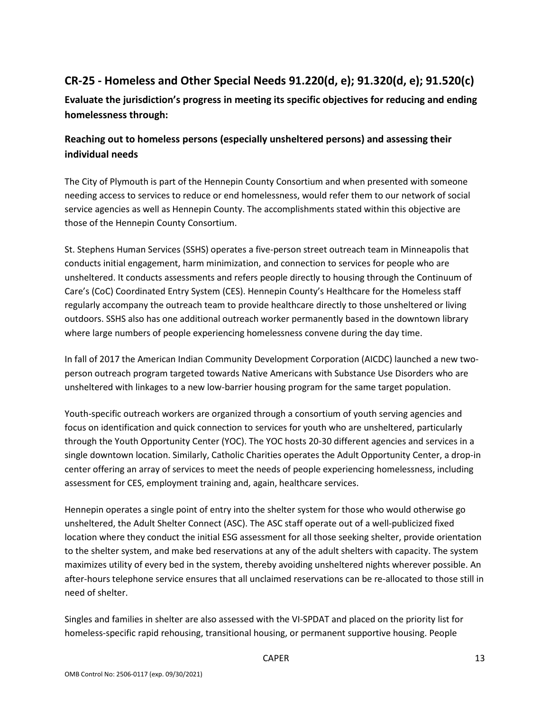## **CR-25 - Homeless and Other Special Needs 91.220(d, e); 91.320(d, e); 91.520(c)**

**Evaluate the jurisdiction's progress in meeting its specific objectives for reducing and ending homelessness through:**

## **Reaching out to homeless persons (especially unsheltered persons) and assessing their individual needs**

The City of Plymouth is part of the Hennepin County Consortium and when presented with someone needing access to services to reduce or end homelessness, would refer them to our network of social service agencies as well as Hennepin County. The accomplishments stated within this objective are those of the Hennepin County Consortium.

St. Stephens Human Services (SSHS) operates a five-person street outreach team in Minneapolis that conducts initial engagement, harm minimization, and connection to services for people who are unsheltered. It conducts assessments and refers people directly to housing through the Continuum of Care's (CoC) Coordinated Entry System (CES). Hennepin County's Healthcare for the Homeless staff regularly accompany the outreach team to provide healthcare directly to those unsheltered or living outdoors. SSHS also has one additional outreach worker permanently based in the downtown library where large numbers of people experiencing homelessness convene during the day time.

In fall of 2017 the American Indian Community Development Corporation (AICDC) launched a new twoperson outreach program targeted towards Native Americans with Substance Use Disorders who are unsheltered with linkages to a new low-barrier housing program for the same target population.

Youth-specific outreach workers are organized through a consortium of youth serving agencies and focus on identification and quick connection to services for youth who are unsheltered, particularly through the Youth Opportunity Center (YOC). The YOC hosts 20-30 different agencies and services in a single downtown location. Similarly, Catholic Charities operates the Adult Opportunity Center, a drop-in center offering an array of services to meet the needs of people experiencing homelessness, including assessment for CES, employment training and, again, healthcare services.

Hennepin operates a single point of entry into the shelter system for those who would otherwise go unsheltered, the Adult Shelter Connect (ASC). The ASC staff operate out of a well-publicized fixed location where they conduct the initial ESG assessment for all those seeking shelter, provide orientation to the shelter system, and make bed reservations at any of the adult shelters with capacity. The system maximizes utility of every bed in the system, thereby avoiding unsheltered nights wherever possible. An after-hours telephone service ensures that all unclaimed reservations can be re-allocated to those still in need of shelter.

Singles and families in shelter are also assessed with the VI-SPDAT and placed on the priority list for homeless-specific rapid rehousing, transitional housing, or permanent supportive housing. People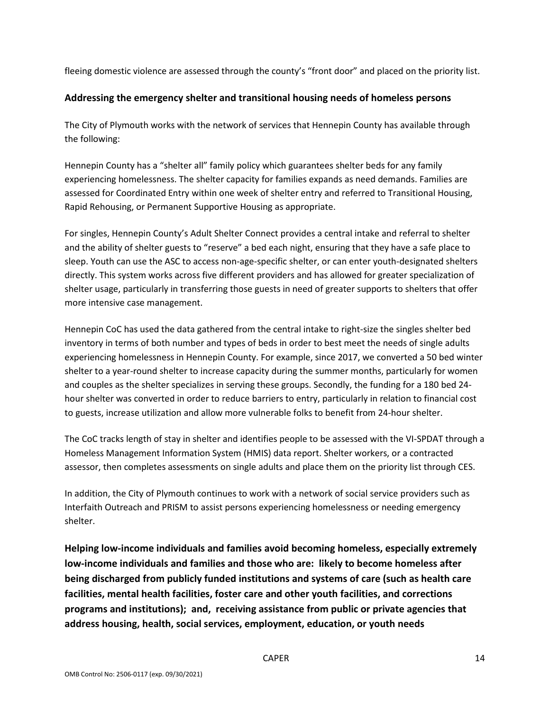fleeing domestic violence are assessed through the county's "front door" and placed on the priority list.

#### **Addressing the emergency shelter and transitional housing needs of homeless persons**

The City of Plymouth works with the network of services that Hennepin County has available through the following:

Hennepin County has a "shelter all" family policy which guarantees shelter beds for any family experiencing homelessness. The shelter capacity for families expands as need demands. Families are assessed for Coordinated Entry within one week of shelter entry and referred to Transitional Housing, Rapid Rehousing, or Permanent Supportive Housing as appropriate.

For singles, Hennepin County's Adult Shelter Connect provides a central intake and referral to shelter and the ability of shelter guests to "reserve" a bed each night, ensuring that they have a safe place to sleep. Youth can use the ASC to access non-age-specific shelter, or can enter youth-designated shelters directly. This system works across five different providers and has allowed for greater specialization of shelter usage, particularly in transferring those guests in need of greater supports to shelters that offer more intensive case management.

Hennepin CoC has used the data gathered from the central intake to right-size the singles shelter bed inventory in terms of both number and types of beds in order to best meet the needs of single adults experiencing homelessness in Hennepin County. For example, since 2017, we converted a 50 bed winter shelter to a year-round shelter to increase capacity during the summer months, particularly for women and couples as the shelter specializes in serving these groups. Secondly, the funding for a 180 bed 24 hour shelter was converted in order to reduce barriers to entry, particularly in relation to financial cost to guests, increase utilization and allow more vulnerable folks to benefit from 24-hour shelter.

The CoC tracks length of stay in shelter and identifies people to be assessed with the VI-SPDAT through a Homeless Management Information System (HMIS) data report. Shelter workers, or a contracted assessor, then completes assessments on single adults and place them on the priority list through CES.

In addition, the City of Plymouth continues to work with a network of social service providers such as Interfaith Outreach and PRISM to assist persons experiencing homelessness or needing emergency shelter.

**Helping low-income individuals and families avoid becoming homeless, especially extremely low-income individuals and families and those who are: likely to become homeless after being discharged from publicly funded institutions and systems of care (such as health care facilities, mental health facilities, foster care and other youth facilities, and corrections programs and institutions); and, receiving assistance from public or private agencies that address housing, health, social services, employment, education, or youth needs**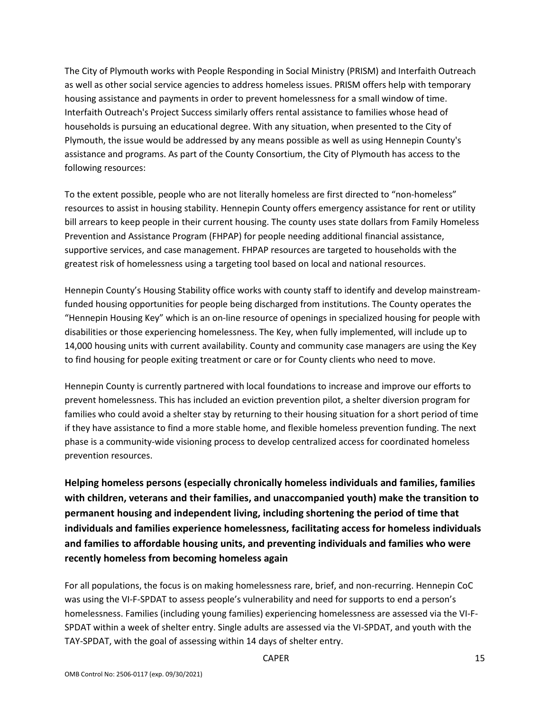The City of Plymouth works with People Responding in Social Ministry (PRISM) and Interfaith Outreach as well as other social service agencies to address homeless issues. PRISM offers help with temporary housing assistance and payments in order to prevent homelessness for a small window of time. Interfaith Outreach's Project Success similarly offers rental assistance to families whose head of households is pursuing an educational degree. With any situation, when presented to the City of Plymouth, the issue would be addressed by any means possible as well as using Hennepin County's assistance and programs. As part of the County Consortium, the City of Plymouth has access to the following resources:

To the extent possible, people who are not literally homeless are first directed to "non-homeless" resources to assist in housing stability. Hennepin County offers emergency assistance for rent or utility bill arrears to keep people in their current housing. The county uses state dollars from Family Homeless Prevention and Assistance Program (FHPAP) for people needing additional financial assistance, supportive services, and case management. FHPAP resources are targeted to households with the greatest risk of homelessness using a targeting tool based on local and national resources.

Hennepin County's Housing Stability office works with county staff to identify and develop mainstreamfunded housing opportunities for people being discharged from institutions. The County operates the "Hennepin Housing Key" which is an on-line resource of openings in specialized housing for people with disabilities or those experiencing homelessness. The Key, when fully implemented, will include up to 14,000 housing units with current availability. County and community case managers are using the Key to find housing for people exiting treatment or care or for County clients who need to move.

Hennepin County is currently partnered with local foundations to increase and improve our efforts to prevent homelessness. This has included an eviction prevention pilot, a shelter diversion program for families who could avoid a shelter stay by returning to their housing situation for a short period of time if they have assistance to find a more stable home, and flexible homeless prevention funding. The next phase is a community-wide visioning process to develop centralized access for coordinated homeless prevention resources.

**Helping homeless persons (especially chronically homeless individuals and families, families with children, veterans and their families, and unaccompanied youth) make the transition to permanent housing and independent living, including shortening the period of time that individuals and families experience homelessness, facilitating access for homeless individuals and families to affordable housing units, and preventing individuals and families who were recently homeless from becoming homeless again**

For all populations, the focus is on making homelessness rare, brief, and non-recurring. Hennepin CoC was using the VI-F-SPDAT to assess people's vulnerability and need for supports to end a person's homelessness. Families (including young families) experiencing homelessness are assessed via the VI-F-SPDAT within a week of shelter entry. Single adults are assessed via the VI-SPDAT, and youth with the TAY-SPDAT, with the goal of assessing within 14 days of shelter entry.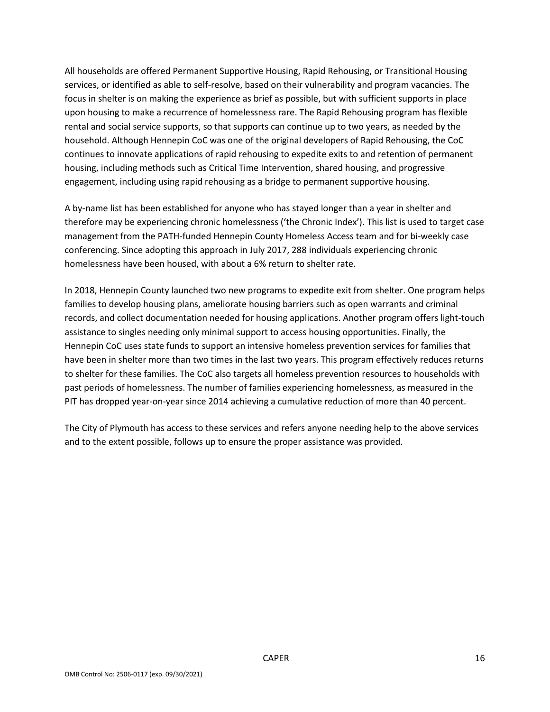All households are offered Permanent Supportive Housing, Rapid Rehousing, or Transitional Housing services, or identified as able to self-resolve, based on their vulnerability and program vacancies. The focus in shelter is on making the experience as brief as possible, but with sufficient supports in place upon housing to make a recurrence of homelessness rare. The Rapid Rehousing program has flexible rental and social service supports, so that supports can continue up to two years, as needed by the household. Although Hennepin CoC was one of the original developers of Rapid Rehousing, the CoC continues to innovate applications of rapid rehousing to expedite exits to and retention of permanent housing, including methods such as Critical Time Intervention, shared housing, and progressive engagement, including using rapid rehousing as a bridge to permanent supportive housing.

A by-name list has been established for anyone who has stayed longer than a year in shelter and therefore may be experiencing chronic homelessness ('the Chronic Index'). This list is used to target case management from the PATH-funded Hennepin County Homeless Access team and for bi-weekly case conferencing. Since adopting this approach in July 2017, 288 individuals experiencing chronic homelessness have been housed, with about a 6% return to shelter rate.

In 2018, Hennepin County launched two new programs to expedite exit from shelter. One program helps families to develop housing plans, ameliorate housing barriers such as open warrants and criminal records, and collect documentation needed for housing applications. Another program offers light-touch assistance to singles needing only minimal support to access housing opportunities. Finally, the Hennepin CoC uses state funds to support an intensive homeless prevention services for families that have been in shelter more than two times in the last two years. This program effectively reduces returns to shelter for these families. The CoC also targets all homeless prevention resources to households with past periods of homelessness. The number of families experiencing homelessness, as measured in the PIT has dropped year-on-year since 2014 achieving a cumulative reduction of more than 40 percent.

The City of Plymouth has access to these services and refers anyone needing help to the above services and to the extent possible, follows up to ensure the proper assistance was provided.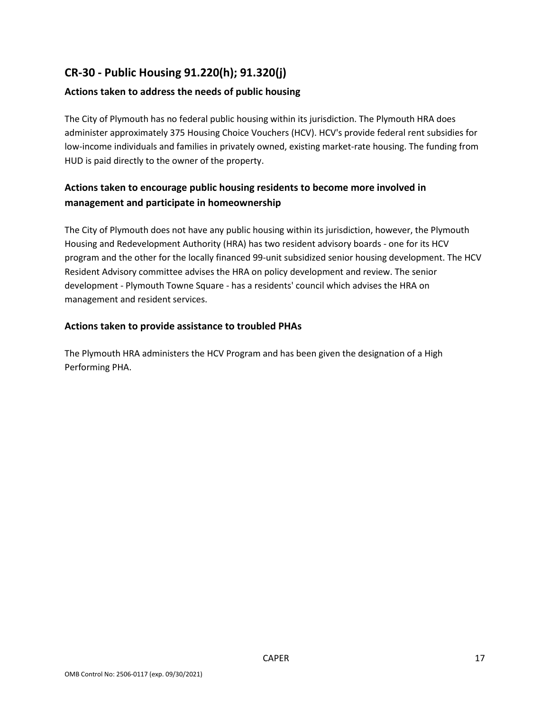## **CR-30 - Public Housing 91.220(h); 91.320(j)**

## **Actions taken to address the needs of public housing**

The City of Plymouth has no federal public housing within its jurisdiction. The Plymouth HRA does administer approximately 375 Housing Choice Vouchers (HCV). HCV's provide federal rent subsidies for low-income individuals and families in privately owned, existing market-rate housing. The funding from HUD is paid directly to the owner of the property.

## **Actions taken to encourage public housing residents to become more involved in management and participate in homeownership**

The City of Plymouth does not have any public housing within its jurisdiction, however, the Plymouth Housing and Redevelopment Authority (HRA) has two resident advisory boards - one for its HCV program and the other for the locally financed 99-unit subsidized senior housing development. The HCV Resident Advisory committee advises the HRA on policy development and review. The senior development - Plymouth Towne Square - has a residents' council which advises the HRA on management and resident services.

#### **Actions taken to provide assistance to troubled PHAs**

The Plymouth HRA administers the HCV Program and has been given the designation of a High Performing PHA.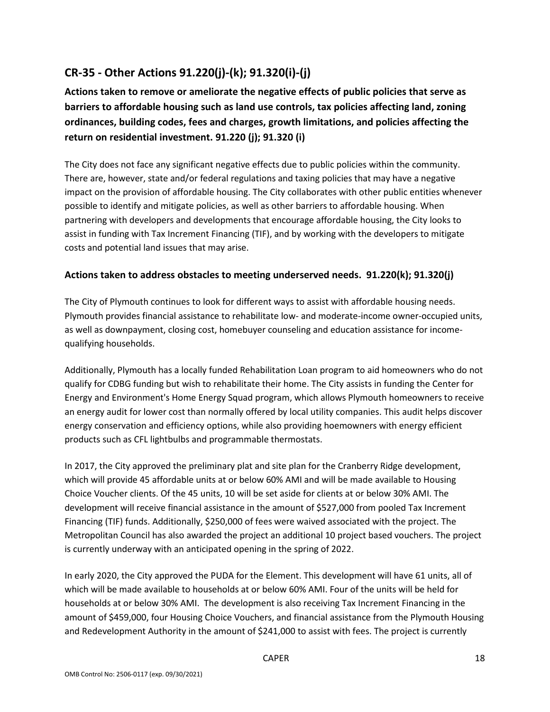## **CR-35 - Other Actions 91.220(j)-(k); 91.320(i)-(j)**

**Actions taken to remove or ameliorate the negative effects of public policies that serve as barriers to affordable housing such as land use controls, tax policies affecting land, zoning ordinances, building codes, fees and charges, growth limitations, and policies affecting the return on residential investment. 91.220 (j); 91.320 (i)**

The City does not face any significant negative effects due to public policies within the community. There are, however, state and/or federal regulations and taxing policies that may have a negative impact on the provision of affordable housing. The City collaborates with other public entities whenever possible to identify and mitigate policies, as well as other barriers to affordable housing. When partnering with developers and developments that encourage affordable housing, the City looks to assist in funding with Tax Increment Financing (TIF), and by working with the developers to mitigate costs and potential land issues that may arise.

#### **Actions taken to address obstacles to meeting underserved needs. 91.220(k); 91.320(j)**

The City of Plymouth continues to look for different ways to assist with affordable housing needs. Plymouth provides financial assistance to rehabilitate low- and moderate-income owner-occupied units, as well as downpayment, closing cost, homebuyer counseling and education assistance for incomequalifying households.

Additionally, Plymouth has a locally funded Rehabilitation Loan program to aid homeowners who do not qualify for CDBG funding but wish to rehabilitate their home. The City assists in funding the Center for Energy and Environment's Home Energy Squad program, which allows Plymouth homeowners to receive an energy audit for lower cost than normally offered by local utility companies. This audit helps discover energy conservation and efficiency options, while also providing hoemowners with energy efficient products such as CFL lightbulbs and programmable thermostats.

In 2017, the City approved the preliminary plat and site plan for the Cranberry Ridge development, which will provide 45 affordable units at or below 60% AMI and will be made available to Housing Choice Voucher clients. Of the 45 units, 10 will be set aside for clients at or below 30% AMI. The development will receive financial assistance in the amount of \$527,000 from pooled Tax Increment Financing (TIF) funds. Additionally, \$250,000 of fees were waived associated with the project. The Metropolitan Council has also awarded the project an additional 10 project based vouchers. The project is currently underway with an anticipated opening in the spring of 2022.

In early 2020, the City approved the PUDA for the Element. This development will have 61 units, all of which will be made available to households at or below 60% AMI. Four of the units will be held for households at or below 30% AMI. The development is also receiving Tax Increment Financing in the amount of \$459,000, four Housing Choice Vouchers, and financial assistance from the Plymouth Housing and Redevelopment Authority in the amount of \$241,000 to assist with fees. The project is currently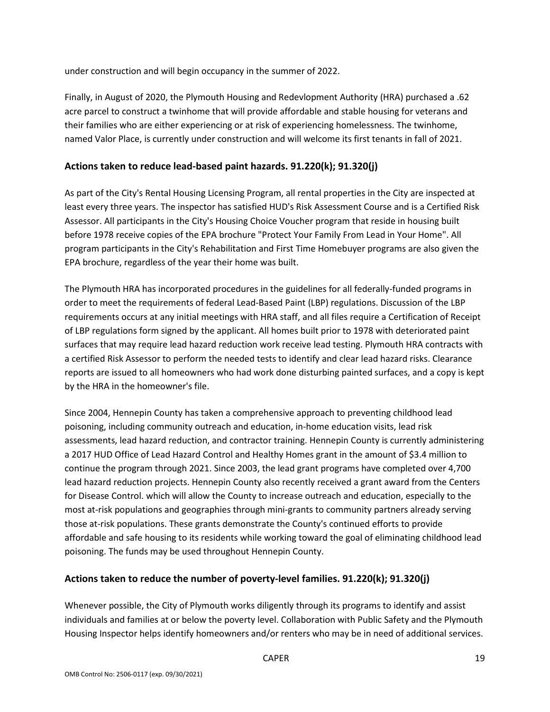under construction and will begin occupancy in the summer of 2022.

Finally, in August of 2020, the Plymouth Housing and Redevlopment Authority (HRA) purchased a .62 acre parcel to construct a twinhome that will provide affordable and stable housing for veterans and their families who are either experiencing or at risk of experiencing homelessness. The twinhome, named Valor Place, is currently under construction and will welcome its first tenants in fall of 2021.

#### **Actions taken to reduce lead-based paint hazards. 91.220(k); 91.320(j)**

As part of the City's Rental Housing Licensing Program, all rental properties in the City are inspected at least every three years. The inspector has satisfied HUD's Risk Assessment Course and is a Certified Risk Assessor. All participants in the City's Housing Choice Voucher program that reside in housing built before 1978 receive copies of the EPA brochure "Protect Your Family From Lead in Your Home". All program participants in the City's Rehabilitation and First Time Homebuyer programs are also given the EPA brochure, regardless of the year their home was built.

The Plymouth HRA has incorporated procedures in the guidelines for all federally-funded programs in order to meet the requirements of federal Lead-Based Paint (LBP) regulations. Discussion of the LBP requirements occurs at any initial meetings with HRA staff, and all files require a Certification of Receipt of LBP regulations form signed by the applicant. All homes built prior to 1978 with deteriorated paint surfaces that may require lead hazard reduction work receive lead testing. Plymouth HRA contracts with a certified Risk Assessor to perform the needed tests to identify and clear lead hazard risks. Clearance reports are issued to all homeowners who had work done disturbing painted surfaces, and a copy is kept by the HRA in the homeowner's file.

Since 2004, Hennepin County has taken a comprehensive approach to preventing childhood lead poisoning, including community outreach and education, in-home education visits, lead risk assessments, lead hazard reduction, and contractor training. Hennepin County is currently administering a 2017 HUD Office of Lead Hazard Control and Healthy Homes grant in the amount of \$3.4 million to continue the program through 2021. Since 2003, the lead grant programs have completed over 4,700 lead hazard reduction projects. Hennepin County also recently received a grant award from the Centers for Disease Control. which will allow the County to increase outreach and education, especially to the most at-risk populations and geographies through mini-grants to community partners already serving those at-risk populations. These grants demonstrate the County's continued efforts to provide affordable and safe housing to its residents while working toward the goal of eliminating childhood lead poisoning. The funds may be used throughout Hennepin County.

#### **Actions taken to reduce the number of poverty-level families. 91.220(k); 91.320(j)**

Whenever possible, the City of Plymouth works diligently through its programs to identify and assist individuals and families at or below the poverty level. Collaboration with Public Safety and the Plymouth Housing Inspector helps identify homeowners and/or renters who may be in need of additional services.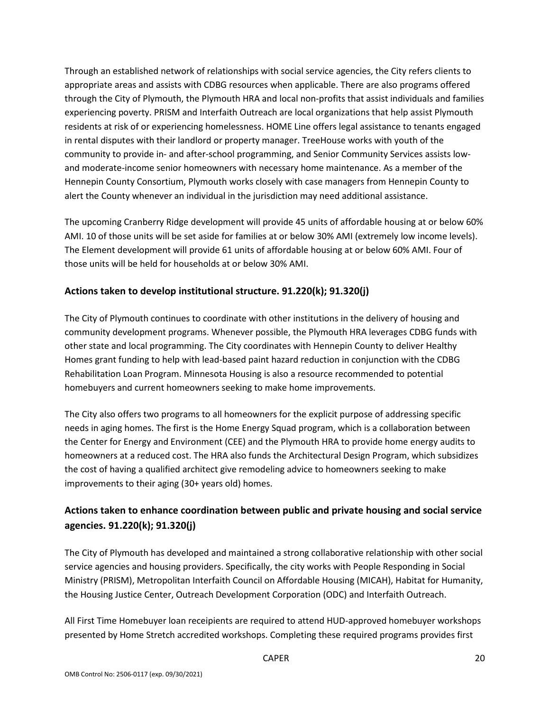Through an established network of relationships with social service agencies, the City refers clients to appropriate areas and assists with CDBG resources when applicable. There are also programs offered through the City of Plymouth, the Plymouth HRA and local non-profits that assist individuals and families experiencing poverty. PRISM and Interfaith Outreach are local organizations that help assist Plymouth residents at risk of or experiencing homelessness. HOME Line offers legal assistance to tenants engaged in rental disputes with their landlord or property manager. TreeHouse works with youth of the community to provide in- and after-school programming, and Senior Community Services assists lowand moderate-income senior homeowners with necessary home maintenance. As a member of the Hennepin County Consortium, Plymouth works closely with case managers from Hennepin County to alert the County whenever an individual in the jurisdiction may need additional assistance.

The upcoming Cranberry Ridge development will provide 45 units of affordable housing at or below 60% AMI. 10 of those units will be set aside for families at or below 30% AMI (extremely low income levels). The Element development will provide 61 units of affordable housing at or below 60% AMI. Four of those units will be held for households at or below 30% AMI.

#### **Actions taken to develop institutional structure. 91.220(k); 91.320(j)**

The City of Plymouth continues to coordinate with other institutions in the delivery of housing and community development programs. Whenever possible, the Plymouth HRA leverages CDBG funds with other state and local programming. The City coordinates with Hennepin County to deliver Healthy Homes grant funding to help with lead-based paint hazard reduction in conjunction with the CDBG Rehabilitation Loan Program. Minnesota Housing is also a resource recommended to potential homebuyers and current homeowners seeking to make home improvements.

The City also offers two programs to all homeowners for the explicit purpose of addressing specific needs in aging homes. The first is the Home Energy Squad program, which is a collaboration between the Center for Energy and Environment (CEE) and the Plymouth HRA to provide home energy audits to homeowners at a reduced cost. The HRA also funds the Architectural Design Program, which subsidizes the cost of having a qualified architect give remodeling advice to homeowners seeking to make improvements to their aging (30+ years old) homes.

## **Actions taken to enhance coordination between public and private housing and social service agencies. 91.220(k); 91.320(j)**

The City of Plymouth has developed and maintained a strong collaborative relationship with other social service agencies and housing providers. Specifically, the city works with People Responding in Social Ministry (PRISM), Metropolitan Interfaith Council on Affordable Housing (MICAH), Habitat for Humanity, the Housing Justice Center, Outreach Development Corporation (ODC) and Interfaith Outreach.

All First Time Homebuyer loan receipients are required to attend HUD-approved homebuyer workshops presented by Home Stretch accredited workshops. Completing these required programs provides first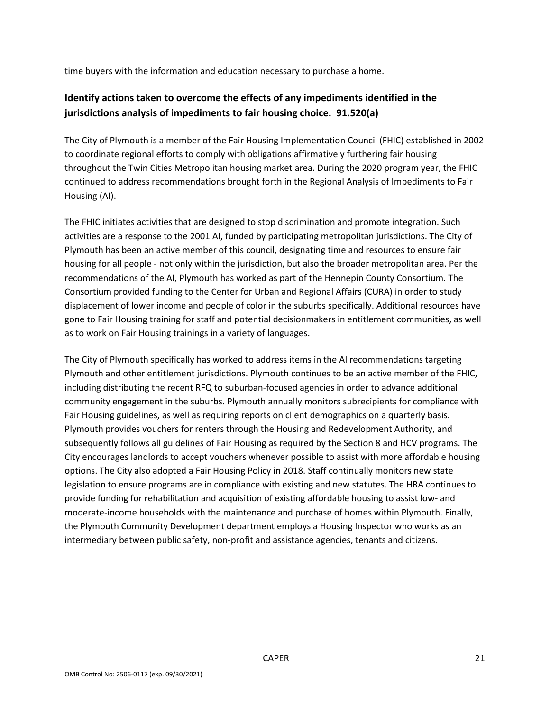time buyers with the information and education necessary to purchase a home.

## **Identify actions taken to overcome the effects of any impediments identified in the jurisdictions analysis of impediments to fair housing choice. 91.520(a)**

The City of Plymouth is a member of the Fair Housing Implementation Council (FHIC) established in 2002 to coordinate regional efforts to comply with obligations affirmatively furthering fair housing throughout the Twin Cities Metropolitan housing market area. During the 2020 program year, the FHIC continued to address recommendations brought forth in the Regional Analysis of Impediments to Fair Housing (AI).

The FHIC initiates activities that are designed to stop discrimination and promote integration. Such activities are a response to the 2001 AI, funded by participating metropolitan jurisdictions. The City of Plymouth has been an active member of this council, designating time and resources to ensure fair housing for all people - not only within the jurisdiction, but also the broader metropolitan area. Per the recommendations of the AI, Plymouth has worked as part of the Hennepin County Consortium. The Consortium provided funding to the Center for Urban and Regional Affairs (CURA) in order to study displacement of lower income and people of color in the suburbs specifically. Additional resources have gone to Fair Housing training for staff and potential decisionmakers in entitlement communities, as well as to work on Fair Housing trainings in a variety of languages.

The City of Plymouth specifically has worked to address items in the AI recommendations targeting Plymouth and other entitlement jurisdictions. Plymouth continues to be an active member of the FHIC, including distributing the recent RFQ to suburban-focused agencies in order to advance additional community engagement in the suburbs. Plymouth annually monitors subrecipients for compliance with Fair Housing guidelines, as well as requiring reports on client demographics on a quarterly basis. Plymouth provides vouchers for renters through the Housing and Redevelopment Authority, and subsequently follows all guidelines of Fair Housing as required by the Section 8 and HCV programs. The City encourages landlords to accept vouchers whenever possible to assist with more affordable housing options. The City also adopted a Fair Housing Policy in 2018. Staff continually monitors new state legislation to ensure programs are in compliance with existing and new statutes. The HRA continues to provide funding for rehabilitation and acquisition of existing affordable housing to assist low- and moderate-income households with the maintenance and purchase of homes within Plymouth. Finally, the Plymouth Community Development department employs a Housing Inspector who works as an intermediary between public safety, non-profit and assistance agencies, tenants and citizens.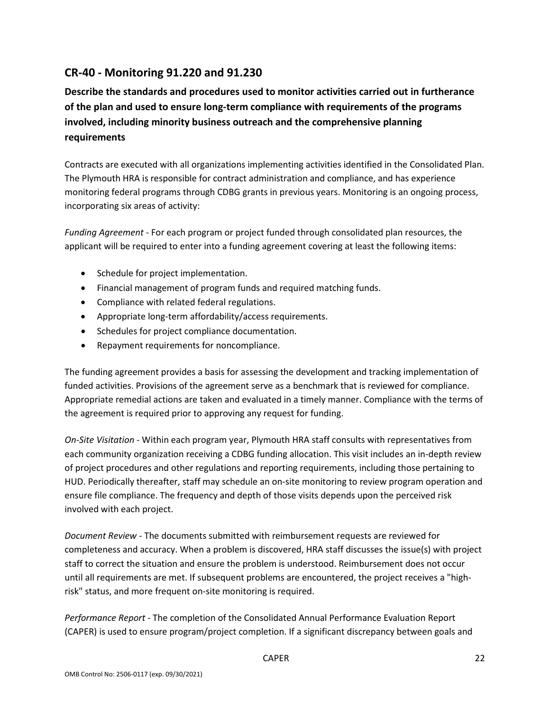## **CR-40 - Monitoring 91.220 and 91.230**

**Describe the standards and procedures used to monitor activities carried out in furtherance of the plan and used to ensure long-term compliance with requirements of the programs involved, including minority business outreach and the comprehensive planning requirements**

Contracts are executed with all organizations implementing activities identified in the Consolidated Plan. The Plymouth HRA is responsible for contract administration and compliance, and has experience monitoring federal programs through CDBG grants in previous years. Monitoring is an ongoing process, incorporating six areas of activity:

*Funding Agreement* - For each program or project funded through consolidated plan resources, the applicant will be required to enter into a funding agreement covering at least the following items:

- Schedule for project implementation.
- Financial management of program funds and required matching funds.
- Compliance with related federal regulations.
- Appropriate long-term affordability/access requirements.
- Schedules for project compliance documentation.
- Repayment requirements for noncompliance.

The funding agreement provides a basis for assessing the development and tracking implementation of funded activities. Provisions of the agreement serve as a benchmark that is reviewed for compliance. Appropriate remedial actions are taken and evaluated in a timely manner. Compliance with the terms of the agreement is required prior to approving any request for funding.

*On-Site Visitation* - Within each program year, Plymouth HRA staff consults with representatives from each community organization receiving a CDBG funding allocation. This visit includes an in-depth review of project procedures and other regulations and reporting requirements, including those pertaining to HUD. Periodically thereafter, staff may schedule an on-site monitoring to review program operation and ensure file compliance. The frequency and depth of those visits depends upon the perceived risk involved with each project.

*Document Review -* The documents submitted with reimbursement requests are reviewed for completeness and accuracy. When a problem is discovered, HRA staff discusses the issue(s) with project staff to correct the situation and ensure the problem is understood. Reimbursement does not occur until all requirements are met. If subsequent problems are encountered, the project receives a "highrisk" status, and more frequent on-site monitoring is required.

*Performance Report -* The completion of the Consolidated Annual Performance Evaluation Report (CAPER) is used to ensure program/project completion. If a significant discrepancy between goals and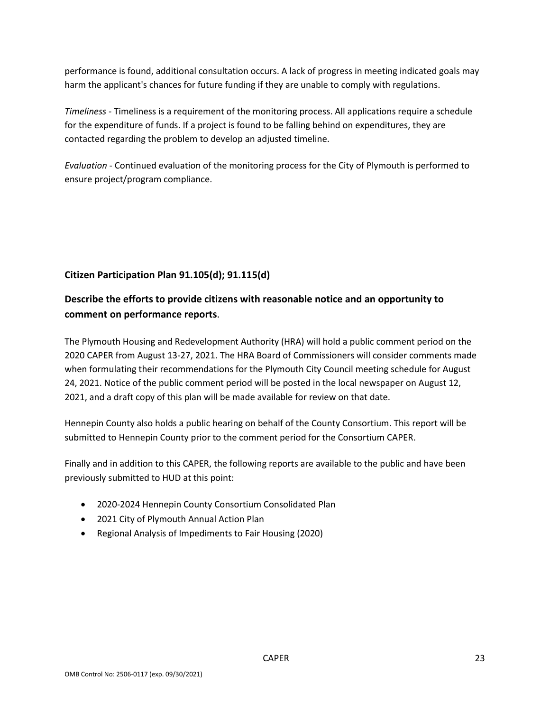performance is found, additional consultation occurs. A lack of progress in meeting indicated goals may harm the applicant's chances for future funding if they are unable to comply with regulations.

*Timeliness* - Timeliness is a requirement of the monitoring process. All applications require a schedule for the expenditure of funds. If a project is found to be falling behind on expenditures, they are contacted regarding the problem to develop an adjusted timeline.

*Evaluation* - Continued evaluation of the monitoring process for the City of Plymouth is performed to ensure project/program compliance.

## **Citizen Participation Plan 91.105(d); 91.115(d)**

## **Describe the efforts to provide citizens with reasonable notice and an opportunity to comment on performance reports**.

The Plymouth Housing and Redevelopment Authority (HRA) will hold a public comment period on the 2020 CAPER from August 13-27, 2021. The HRA Board of Commissioners will consider comments made when formulating their recommendations for the Plymouth City Council meeting schedule for August 24, 2021. Notice of the public comment period will be posted in the local newspaper on August 12, 2021, and a draft copy of this plan will be made available for review on that date.

Hennepin County also holds a public hearing on behalf of the County Consortium. This report will be submitted to Hennepin County prior to the comment period for the Consortium CAPER.

Finally and in addition to this CAPER, the following reports are available to the public and have been previously submitted to HUD at this point:

- 2020-2024 Hennepin County Consortium Consolidated Plan
- 2021 City of Plymouth Annual Action Plan
- Regional Analysis of Impediments to Fair Housing (2020)